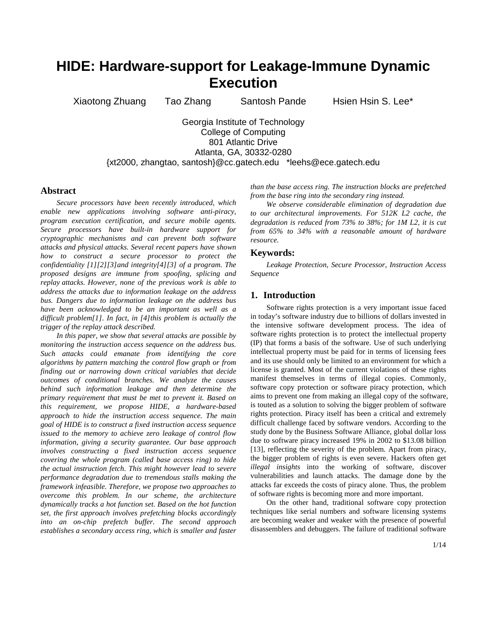# **HIDE: Hardware-support for Leakage-Immune Dynamic Execution**

Xiaotong Zhuang Tao Zhang Santosh Pande Hsien Hsin S. Lee\*

Georgia Institute of Technology College of Computing 801 Atlantic Drive Atlanta, GA, 30332-0280 {xt2000, zhangtao, santosh}@cc.gatech.edu \*leehs@ece.gatech.edu

## **Abstract**

*Secure processors have been recently introduced, which enable new applications involving software anti-piracy, program execution certification, and secure mobile agents. Secure processors have built-in hardware support for cryptographic mechanisms and can prevent both software attacks and physical attacks. Several recent papers have shown how to construct a secure processor to protect the confidentiality [1][2][3]and integrity[4][3] of a program. The proposed designs are immune from spoofing, splicing and replay attacks. However, none of the previous work is able to address the attacks due to information leakage on the address bus. Dangers due to information leakage on the address bus have been acknowledged to be an important as well as a difficult problem[1]. In fact, in [4]this problem is actually the trigger of the replay attack described.* 

*In this paper, we show that several attacks are possible by monitoring the instruction access sequence on the address bus. Such attacks could emanate from identifying the core algorithms by pattern matching the control flow graph or from finding out or narrowing down critical variables that decide outcomes of conditional branches. We analyze the causes behind such information leakage and then determine the primary requirement that must be met to prevent it. Based on this requirement, we propose HIDE, a hardware-based approach to hide the instruction access sequence. The main goal of HIDE is to construct a fixed instruction access sequence issued to the memory to achieve zero leakage of control flow information, giving a security guarantee. Our base approach involves constructing a fixed instruction access sequence covering the whole program (called base access ring) to hide the actual instruction fetch. This might however lead to severe performance degradation due to tremendous stalls making the framework infeasible. Therefore, we propose two approaches to overcome this problem. In our scheme, the architecture dynamically tracks a hot function set. Based on the hot function set, the first approach involves prefetching blocks accordingly into an on-chip prefetch buffer. The second approach establishes a secondary access ring, which is smaller and faster* 

*than the base access ring. The instruction blocks are prefetched from the base ring into the secondary ring instead.* 

*We observe considerable elimination of degradation due to our architectural improvements. For 512K L2 cache, the degradation is reduced from 73% to 38%; for 1M L2, it is cut from 65% to 34% with a reasonable amount of hardware resource.* 

## **Keywords:**

*Leakage Protection, Secure Processor, Instruction Access Sequence* 

## **1. Introduction**

Software rights protection is a very important issue faced in today's software industry due to billions of dollars invested in the intensive software development process. The idea of software rights protection is to protect the intellectual property (IP) that forms a basis of the software. Use of such underlying intellectual property must be paid for in terms of licensing fees and its use should only be limited to an environment for which a license is granted. Most of the current violations of these rights manifest themselves in terms of illegal copies. Commonly, software copy protection or software piracy protection, which aims to prevent one from making an illegal copy of the software, is touted as a solution to solving the bigger problem of software rights protection. Piracy itself has been a critical and extremely difficult challenge faced by software vendors. According to the study done by the Business Software Alliance, global dollar loss due to software piracy increased 19% in 2002 to \$13.08 billion [13], reflecting the severity of the problem. Apart from piracy, the bigger problem of rights is even severe. Hackers often get *illegal insights* into the working of software, discover vulnerabilities and launch attacks. The damage done by the attacks far exceeds the costs of piracy alone. Thus, the problem of software rights is becoming more and more important.

On the other hand, traditional software copy protection techniques like serial numbers and software licensing systems are becoming weaker and weaker with the presence of powerful disassemblers and debuggers. The failure of traditional software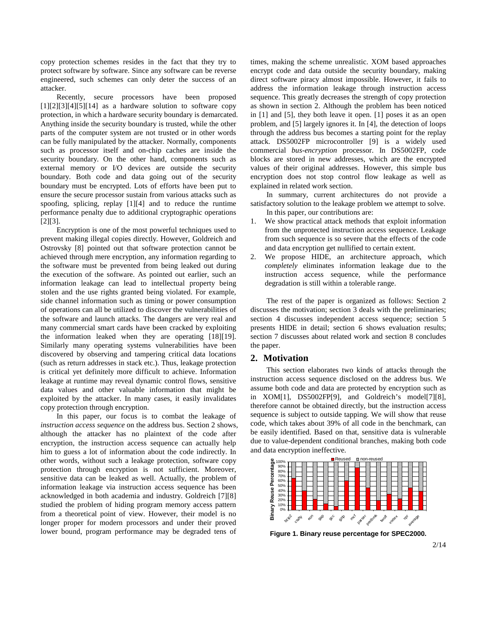copy protection schemes resides in the fact that they try to protect software by software. Since any software can be reverse engineered, such schemes can only deter the success of an attacker.

Recently, secure processors have been proposed  $[1][2][3][4][5][14]$  as a hardware solution to software copy protection, in which a hardware security boundary is demarcated. Anything inside the security boundary is trusted, while the other parts of the computer system are not trusted or in other words can be fully manipulated by the attacker. Normally, components such as processor itself and on-chip caches are inside the security boundary. On the other hand, components such as external memory or I/O devices are outside the security boundary. Both code and data going out of the security boundary must be encrypted. Lots of efforts have been put to ensure the secure processor sustain from various attacks such as spoofing, splicing, replay [1][4] and to reduce the runtime performance penalty due to additional cryptographic operations [2][3].

Encryption is one of the most powerful techniques used to prevent making illegal copies directly. However, Goldreich and Ostrovsky [8] pointed out that software protection cannot be achieved through mere encryption, any information regarding to the software must be prevented from being leaked out during the execution of the software. As pointed out earlier, such an information leakage can lead to intellectual property being stolen and the use rights granted being violated. For example, side channel information such as timing or power consumption of operations can all be utilized to discover the vulnerabilities of the software and launch attacks. The dangers are very real and many commercial smart cards have been cracked by exploiting the information leaked when they are operating [18][19]. Similarly many operating systems vulnerabilities have been discovered by observing and tampering critical data locations (such as return addresses in stack etc.). Thus, leakage protection is critical yet definitely more difficult to achieve. Information leakage at runtime may reveal dynamic control flows, sensitive data values and other valuable information that might be exploited by the attacker. In many cases, it easily invalidates copy protection through encryption.

In this paper, our focus is to combat the leakage of *instruction access sequence* on the address bus. Section 2 shows, although the attacker has no plaintext of the code after encryption, the instruction access sequence can actually help him to guess a lot of information about the code indirectly. In other words, without such a leakage protection, software copy protection through encryption is not sufficient. Moreover, sensitive data can be leaked as well. Actually, the problem of information leakage via instruction access sequence has been acknowledged in both academia and industry. Goldreich [7][8] studied the problem of hiding program memory access pattern from a theoretical point of view. However, their model is no longer proper for modern processors and under their proved lower bound, program performance may be degraded tens of

times, making the scheme unrealistic. XOM based approaches encrypt code and data outside the security boundary, making direct software piracy almost impossible. However, it fails to address the information leakage through instruction access sequence. This greatly decreases the strength of copy protection as shown in section 2. Although the problem has been noticed in [1] and [5], they both leave it open. [1] poses it as an open problem, and [5] largely ignores it. In [4], the detection of loops through the address bus becomes a starting point for the replay attack. DS5002FP microcontroller [9] is a widely used commercial *bus-encryption* processor. In DS5002FP, code blocks are stored in new addresses, which are the encrypted values of their original addresses. However, this simple bus encryption does not stop control flow leakage as well as explained in related work section.

In summary, current architectures do not provide a satisfactory solution to the leakage problem we attempt to solve. In this paper, our contributions are:

- 1. We show practical attack methods that exploit information from the unprotected instruction access sequence. Leakage from such sequence is so severe that the effects of the code and data encryption get nullified to certain extent.
- 2. We propose HIDE, an architecture approach, which *completely* eliminates information leakage due to the instruction access sequence, while the performance degradation is still within a tolerable range.

The rest of the paper is organized as follows: Section 2 discusses the motivation; section 3 deals with the preliminaries; section 4 discusses independent access sequence; section 5 presents HIDE in detail; section 6 shows evaluation results; section 7 discusses about related work and section 8 concludes the paper.

# **2. Motivation**

This section elaborates two kinds of attacks through the instruction access sequence disclosed on the address bus. We assume both code and data are protected by encryption such as in XOM[1], DS5002FP[9], and Goldreich's model[7][8], therefore cannot be obtained directly, but the instruction access sequence is subject to outside tapping. We will show that reuse code, which takes about 39% of all code in the benchmark, can be easily identified. Based on that, sensitive data is vulnerable due to value-dependent conditional branches, making both code and data encryption ineffective.



**Figure 1. Binary reuse percentage for SPEC2000.**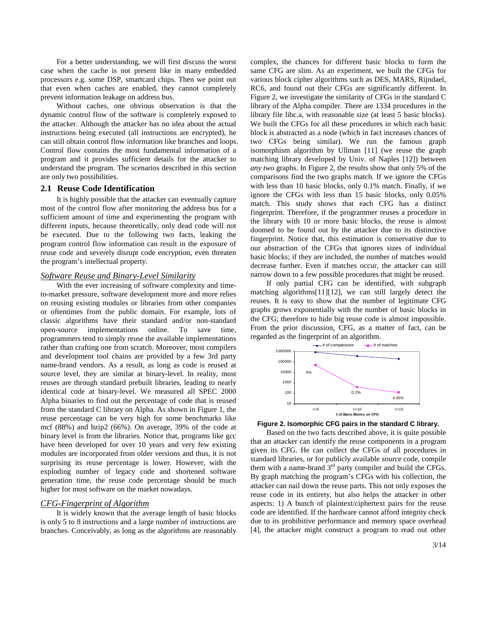For a better understanding, we will first discuss the worst case when the cache is not present like in many embedded processors e.g. some DSP, smartcard chips. Then we point out that even when caches are enabled, they cannot completely prevent information leakage on address bus.

Without caches, one obvious observation is that the dynamic control flow of the software is completely exposed to the attacker. Although the attacker has no idea about the actual instructions being executed (all instructions are encrypted), he can still obtain control flow information like branches and loops. Control flow contains the most fundamental information of a program and it provides sufficient details for the attacker to understand the program. The scenarios described in this section are only two possibilities.

## **2.1 Reuse Code Identification**

It is highly possible that the attacker can eventually capture most of the control flow after monitoring the address bus for a sufficient amount of time and experimenting the program with different inputs, because theoretically, only dead code will not be executed. Due to the following two facts, leaking the program control flow information can result in the exposure of reuse code and severely disrupt code encryption, even threaten the program's intellectual property.

### *Software Reuse and Binary-Level Similarity*

With the ever increasing of software complexity and timeto-market pressure, software development more and more relies on reusing existing modules or libraries from other companies or oftentimes from the public domain. For example, lots of classic algorithms have their standard and/or non-standard open-source implementations online. To save time, programmers tend to simply reuse the available implementations rather than crafting one from scratch. Moreover, most compilers and development tool chains are provided by a few 3rd party name-brand vendors. As a result, as long as code is reused at source level, they are similar at binary-level. In reality, most reuses are through standard prebuilt libraries, leading to nearly identical code at binary-level. We measured all SPEC 2000 Alpha binaries to find out the percentage of code that is reused from the standard C library on Alpha. As shown in Figure 1, the reuse percentage can be very high for some benchmarks like mcf (88%) and bzip2 (66%). On average, 39% of the code at binary level is from the libraries. Notice that, programs like gcc have been developed for over 10 years and very few existing modules are incorporated from older versions and thus, it is not surprising its reuse percentage is lower. However, with the exploding number of legacy code and shortened software generation time, the reuse code percentage should be much higher for most software on the market nowadays.

#### *CFG-Fingerprint of Algorithm*

It is widely known that the average length of basic blocks is only 5 to 8 instructions and a large number of instructions are branches. Conceivably, as long as the algorithms are reasonably complex, the chances for different basic blocks to form the same CFG are slim. As an experiment, we built the CFGs for various block cipher algorithms such as DES, MARS, Rijndael, RC6, and found out their CFGs are significantly different. In Figure 2, we investigate the similarity of CFGs in the standard C library of the Alpha compiler. There are 1334 procedures in the library file libc.a, with reasonable size (at least 5 basic blocks). We built the CFGs for all these procedures in which each basic block is abstracted as a node (which in fact increases chances of two CFGs being similar). We run the famous graph isomorphism algorithm by Ullman [11] (we reuse the graph matching library developed by Univ. of Naples [12]) between *any two* graphs. In Figure 2, the results show that only 5% of the comparisons find the two graphs match. If we ignore the CFGs with less than 10 basic blocks, only 0.1% match. Finally, if we ignore the CFGs with less than 15 basic blocks, only 0.05% match. This study shows that each CFG has a distinct fingerprint. Therefore, if the programmer reuses a procedure in the library with 10 or more basic blocks, the reuse is almost doomed to be found out by the attacker due to its distinctive fingerprint. Notice that, this estimation is conservative due to our abstraction of the CFGs that ignores sizes of individual basic blocks; if they are included, the number of matches would decrease further. Even if matches occur, the attacker can still narrow down to a few possible procedures that might be reused.

If only partial CFG can be identified, with subgraph matching algorithms[11][12], we can still largely detect the reuses. It is easy to show that the number of legitimate CFG graphs grows exponentially with the number of basic blocks in the CFG; therefore to hide big reuse code is almost impossible. From the prior discussion, CFG, as a matter of fact, can be regarded as the fingerprint of an algorithm.



#### **Figure 2. Isomorphic CFG pairs in the standard C library.**

Based on the two facts described above, it is quite possible that an attacker can identify the reuse components in a program given its CFG. He can collect the CFGs of all procedures in standard libraries, or for publicly available source code, compile them with a name-brand  $3<sup>rd</sup>$  party compiler and build the CFGs. By graph matching the program's CFGs with his collection, the attacker can nail down the reuse parts. This not only exposes the reuse code in its entirety, but also helps the attacker in other aspects: 1) A bunch of plaintext/ciphertext pairs for the reuse code are identified. If the hardware cannot afford integrity check due to its prohibitive performance and memory space overhead [4], the attacker might construct a program to read out other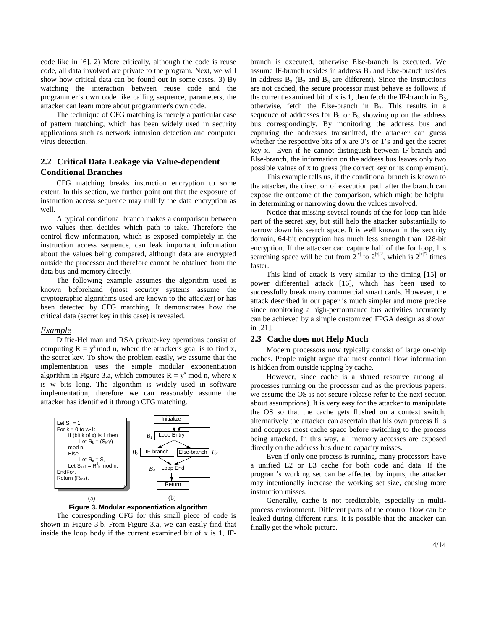code like in [6]. 2) More critically, although the code is reuse code, all data involved are private to the program. Next, we will show how critical data can be found out in some cases. 3) By watching the interaction between reuse code and the programmer's own code like calling sequence, parameters, the attacker can learn more about programmer's own code.

The technique of CFG matching is merely a particular case of pattern matching, which has been widely used in security applications such as network intrusion detection and computer virus detection.

# **2.2 Critical Data Leakage via Value-dependent Conditional Branches**

CFG matching breaks instruction encryption to some extent. In this section, we further point out that the exposure of instruction access sequence may nullify the data encryption as well.

A typical conditional branch makes a comparison between two values then decides which path to take. Therefore the control flow information, which is exposed completely in the instruction access sequence, can leak important information about the values being compared, although data are encrypted outside the processor and therefore cannot be obtained from the data bus and memory directly.

The following example assumes the algorithm used is known beforehand (most security systems assume the cryptographic algorithms used are known to the attacker) or has been detected by CFG matching. It demonstrates how the critical data (secret key in this case) is revealed.

#### *Example*

Diffie-Hellman and RSA private-key operations consist of computing  $R = y^x \mod n$ , where the attacker's goal is to find x, the secret key. To show the problem easily, we assume that the implementation uses the simple modular exponentiation algorithm in Figure 3.a, which computes  $R = y^x \text{ mod } n$ , where x is w bits long. The algorithm is widely used in software implementation, therefore we can reasonably assume the attacker has identified it through CFG matching.





The corresponding CFG for this small piece of code is shown in Figure 3.b. From Figure 3.a, we can easily find that inside the loop body if the current examined bit of x is 1, IF- branch is executed, otherwise Else-branch is executed. We assume IF-branch resides in address  $B_2$  and Else-branch resides in address  $B_3$  ( $B_2$  and  $B_3$  are different). Since the instructions are not cached, the secure processor must behave as follows: if the current examined bit of x is 1, then fetch the IF-branch in  $B_2$ , otherwise, fetch the Else-branch in  $B_3$ . This results in a sequence of addresses for  $B_2$  or  $B_3$  showing up on the address bus correspondingly. By monitoring the address bus and capturing the addresses transmitted, the attacker can guess whether the respective bits of x are 0's or 1's and get the secret key x. Even if he cannot distinguish between IF-branch and Else-branch, the information on the address bus leaves only two possible values of x to guess (the correct key or its complement).

This example tells us, if the conditional branch is known to the attacker, the direction of execution path after the branch can expose the outcome of the comparison, which might be helpful in determining or narrowing down the values involved.

Notice that missing several rounds of the for-loop can hide part of the secret key, but still help the attacker substantially to narrow down his search space. It is well known in the security domain, 64-bit encryption has much less strength than 128-bit encryption. If the attacker can capture half of the for loop, his searching space will be cut from  $2^{|x|}$  to  $2^{|x|/2}$ , which is  $2^{|x|/2}$  times faster.

This kind of attack is very similar to the timing [15] or power differential attack [16], which has been used to successfully break many commercial smart cards. However, the attack described in our paper is much simpler and more precise since monitoring a high-performance bus activities accurately can be achieved by a simple customized FPGA design as shown in [21].

#### **2.3 Cache does not Help Much**

Modern processors now typically consist of large on-chip caches. People might argue that most control flow information is hidden from outside tapping by cache.

However, since cache is a shared resource among all processes running on the processor and as the previous papers, we assume the OS is not secure (please refer to the next section about assumptions). It is very easy for the attacker to manipulate the OS so that the cache gets flushed on a context switch; alternatively the attacker can ascertain that his own process fills and occupies most cache space before switching to the process being attacked. In this way, all memory accesses are exposed directly on the address bus due to capacity misses.

Even if only one process is running, many processors have a unified L2 or L3 cache for both code and data. If the program's working set can be affected by inputs, the attacker may intentionally increase the working set size, causing more instruction misses.

Generally, cache is not predictable, especially in multiprocess environment. Different parts of the control flow can be leaked during different runs. It is possible that the attacker can finally get the whole picture.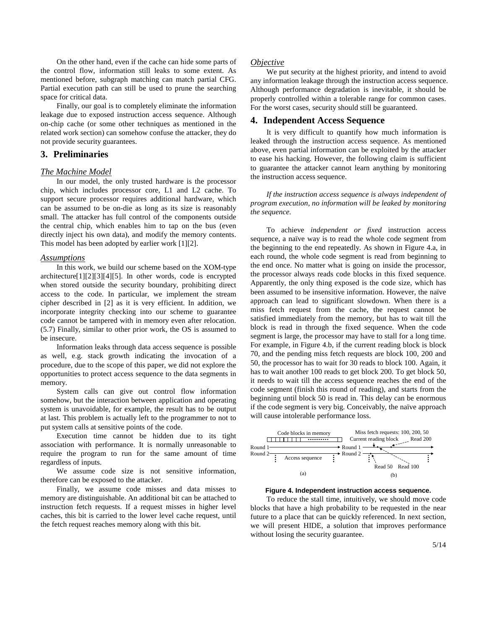On the other hand, even if the cache can hide some parts of the control flow, information still leaks to some extent. As mentioned before, subgraph matching can match partial CFG. Partial execution path can still be used to prune the searching space for critical data.

Finally, our goal is to completely eliminate the information leakage due to exposed instruction access sequence. Although on-chip cache (or some other techniques as mentioned in the related work section) can somehow confuse the attacker, they do not provide security guarantees.

## **3. Preliminaries**

#### *The Machine Model*

In our model, the only trusted hardware is the processor chip, which includes processor core, L1 and L2 cache. To support secure processor requires additional hardware, which can be assumed to be on-die as long as its size is reasonably small. The attacker has full control of the components outside the central chip, which enables him to tap on the bus (even directly inject his own data), and modify the memory contents. This model has been adopted by earlier work [1][2].

## *Assumptions*

In this work, we build our scheme based on the XOM-type architecture[1][2][3][4][5]. In other words, code is encrypted when stored outside the security boundary, prohibiting direct access to the code. In particular, we implement the stream cipher described in [2] as it is very efficient. In addition, we incorporate integrity checking into our scheme to guarantee code cannot be tampered with in memory even after relocation. (5.7) Finally, similar to other prior work, the OS is assumed to be insecure.

Information leaks through data access sequence is possible as well, e.g. stack growth indicating the invocation of a procedure, due to the scope of this paper, we did not explore the opportunities to protect access sequence to the data segments in memory.

System calls can give out control flow information somehow, but the interaction between application and operating system is unavoidable, for example, the result has to be output at last. This problem is actually left to the programmer to not to put system calls at sensitive points of the code.

Execution time cannot be hidden due to its tight association with performance. It is normally unreasonable to require the program to run for the same amount of time regardless of inputs.

We assume code size is not sensitive information, therefore can be exposed to the attacker.

Finally, we assume code misses and data misses to memory are distinguishable. An additional bit can be attached to instruction fetch requests. If a request misses in higher level caches, this bit is carried to the lower level cache request, until the fetch request reaches memory along with this bit.

#### *Objective*

We put security at the highest priority, and intend to avoid any information leakage through the instruction access sequence. Although performance degradation is inevitable, it should be properly controlled within a tolerable range for common cases. For the worst cases, security should still be guaranteed.

## **4. Independent Access Sequence**

It is very difficult to quantify how much information is leaked through the instruction access sequence. As mentioned above, even partial information can be exploited by the attacker to ease his hacking. However, the following claim is sufficient to guarantee the attacker cannot learn anything by monitoring the instruction access sequence.

*If the instruction access sequence is always independent of program execution, no information will be leaked by monitoring the sequence.* 

To achieve *independent or fixed* instruction access sequence, a naïve way is to read the whole code segment from the beginning to the end repeatedly. As shown in Figure 4.a, in each round, the whole code segment is read from beginning to the end once. No matter what is going on inside the processor, the processor always reads code blocks in this fixed sequence. Apparently, the only thing exposed is the code size, which has been assumed to be insensitive information. However, the naïve approach can lead to significant slowdown. When there is a miss fetch request from the cache, the request cannot be satisfied immediately from the memory, but has to wait till the block is read in through the fixed sequence. When the code segment is large, the processor may have to stall for a long time. For example, in Figure 4.b, if the current reading block is block 70, and the pending miss fetch requests are block 100, 200 and 50, the processor has to wait for 30 reads to block 100. Again, it has to wait another 100 reads to get block 200. To get block 50, it needs to wait till the access sequence reaches the end of the code segment (finish this round of reading), and starts from the beginning until block 50 is read in. This delay can be enormous if the code segment is very big. Conceivably, the naïve approach will cause intolerable performance loss.



#### **Figure 4. Independent instruction access sequence.**

To reduce the stall time, intuitively, we should move code blocks that have a high probability to be requested in the near future to a place that can be quickly referenced. In next section, we will present HIDE, a solution that improves performance without losing the security guarantee.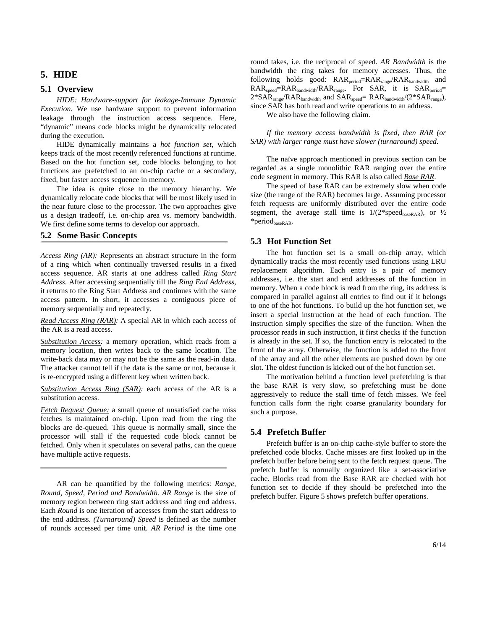# **5. HIDE**

## **5.1 Overview**

*HIDE: Hardware-support for leakage-Immune Dynamic Execution*. We use hardware support to prevent information leakage through the instruction access sequence. Here, "dynamic" means code blocks might be dynamically relocated during the execution.

HIDE dynamically maintains a *hot function set*, which keeps track of the most recently referenced functions at runtime. Based on the hot function set, code blocks belonging to hot functions are prefetched to an on-chip cache or a secondary, fixed, but faster access sequence in memory.

The idea is quite close to the memory hierarchy. We dynamically relocate code blocks that will be most likely used in the near future close to the processor. The two approaches give us a design tradeoff, i.e. on-chip area vs. memory bandwidth. We first define some terms to develop our approach.

## **5.2 Some Basic Concepts**

*Access Ring (AR):* Represents an abstract structure in the form of a ring which when continually traversed results in a fixed access sequence. AR starts at one address called *Ring Start Address*. After accessing sequentially till the *Ring End Address*, it returns to the Ring Start Address and continues with the same access pattern. In short, it accesses a contiguous piece of memory sequentially and repeatedly.

*Read Access Ring (RAR):* A special AR in which each access of the AR is a read access.

*Substitution Access:* a memory operation, which reads from a memory location, then writes back to the same location. The write-back data may or may not be the same as the read-in data. The attacker cannot tell if the data is the same or not, because it is re-encrypted using a different key when written back.

*Substitution Access Ring (SAR):* each access of the AR is a substitution access.

*Fetch Request Queue:* a small queue of unsatisfied cache miss fetches is maintained on-chip. Upon read from the ring the blocks are de-queued. This queue is normally small, since the processor will stall if the requested code block cannot be fetched. Only when it speculates on several paths, can the queue have multiple active requests.

AR can be quantified by the following metrics: *Range, Round, Speed, Period and Bandwidth*. *AR Range* is the size of memory region between ring start address and ring end address. Each *Round* is one iteration of accesses from the start address to the end address. *(Turnaround) Speed* is defined as the number of rounds accessed per time unit. *AR Period* is the time one round takes, i.e. the reciprocal of speed. *AR Bandwidth* is the bandwidth the ring takes for memory accesses. Thus, the following holds good:  $RAR_{period} = RAR_{range} / RAR_{bandwidth}$  and  $RAR<sub>speed</sub>=RAR<sub>bandwidth</sub>/RAR<sub>range</sub>$ . For SAR, it is  $SAR<sub>period</sub>=$  $2*SAR_{range}/RAR_{bandwidth}$  and  $\widetilde{SAR}_{speed}= RAR_{bandwidth}/(2*SAR_{range})$ , since SAR has both read and write operations to an address.

We also have the following claim.

*If the memory access bandwidth is fixed, then RAR (or SAR) with larger range must have slower (turnaround) speed.* 

The naïve approach mentioned in previous section can be regarded as a single monolithic RAR ranging over the entire code segment in memory. This RAR is also called *Base RAR*.

The speed of base RAR can be extremely slow when code size (the range of the RAR) becomes large. Assuming processor fetch requests are uniformly distributed over the entire code segment, the average stall time is  $1/(2*)$  speedbaseRAR), or  $\frac{1}{2}$  $*period_{baseRAR}$ .

## **5.3 Hot Function Set**

The hot function set is a small on-chip array, which dynamically tracks the most recently used functions using LRU replacement algorithm. Each entry is a pair of memory addresses, i.e. the start and end addresses of the function in memory. When a code block is read from the ring, its address is compared in parallel against all entries to find out if it belongs to one of the hot functions. To build up the hot function set, we insert a special instruction at the head of each function. The instruction simply specifies the size of the function. When the processor reads in such instruction, it first checks if the function is already in the set. If so, the function entry is relocated to the front of the array. Otherwise, the function is added to the front of the array and all the other elements are pushed down by one slot. The oldest function is kicked out of the hot function set.

The motivation behind a function level prefetching is that the base RAR is very slow, so prefetching must be done aggressively to reduce the stall time of fetch misses. We feel function calls form the right coarse granularity boundary for such a purpose.

## **5.4 Prefetch Buffer**

Prefetch buffer is an on-chip cache-style buffer to store the prefetched code blocks. Cache misses are first looked up in the prefetch buffer before being sent to the fetch request queue. The prefetch buffer is normally organized like a set-associative cache. Blocks read from the Base RAR are checked with hot function set to decide if they should be prefetched into the prefetch buffer. Figure 5 shows prefetch buffer operations.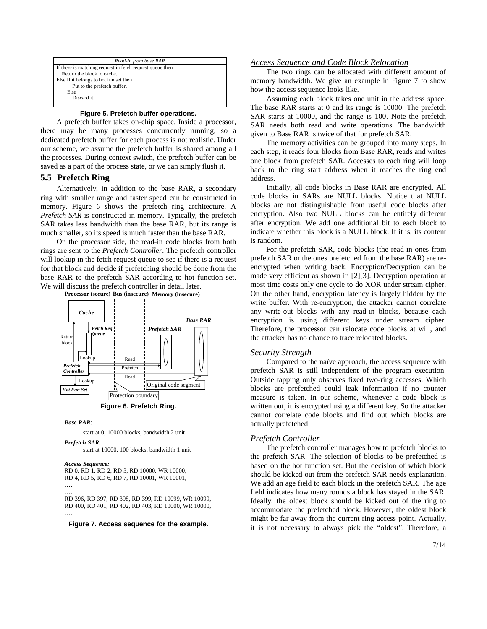

## **Figure 5. Prefetch buffer operations.**

A prefetch buffer takes on-chip space. Inside a processor, there may be many processes concurrently running, so a dedicated prefetch buffer for each process is not realistic. Under our scheme, we assume the prefetch buffer is shared among all the processes. During context switch, the prefetch buffer can be saved as a part of the process state, or we can simply flush it.

## **5.5 Prefetch Ring**

Alternatively, in addition to the base RAR, a secondary ring with smaller range and faster speed can be constructed in memory. Figure 6 shows the prefetch ring architecture. A *Prefetch SAR* is constructed in memory. Typically, the prefetch SAR takes less bandwidth than the base RAR, but its range is much smaller, so its speed is much faster than the base RAR.

On the processor side, the read-in code blocks from both rings are sent to the *Prefetch Controller*. The prefetch controller will lookup in the fetch request queue to see if there is a request for that block and decide if prefetching should be done from the base RAR to the prefetch SAR according to hot function set. We will discuss the prefetch controller in detail later. **Processor (secure) Bus (insecure) Memory (insecure)**



**Figure 6. Prefetch Ring.** 

#### *Base RAR*:

start at 0, 10000 blocks, bandwidth 2 unit *Prefetch SAR*:

start at 10000, 100 blocks, bandwidth 1 unit

*Access Sequence:* 

```
RD 0, RD 1, RD 2, RD 3, RD 10000, WR 10000, 
RD 4, RD 5, RD 6, RD 7, RD 10001, WR 10001, 
…..
```
….. RD 396, RD 397, RD 398, RD 399, RD 10099, WR 10099, RD 400, RD 401, RD 402, RD 403, RD 10000, WR 10000, …..

**Figure 7. Access sequence for the example.** 

#### *Access Sequence and Code Block Relocation*

The two rings can be allocated with different amount of memory bandwidth. We give an example in Figure 7 to show how the access sequence looks like.

Assuming each block takes one unit in the address space. The base RAR starts at 0 and its range is 10000. The prefetch SAR starts at 10000, and the range is 100. Note the prefetch SAR needs both read and write operations. The bandwidth given to Base RAR is twice of that for prefetch SAR.

The memory activities can be grouped into many steps. In each step, it reads four blocks from Base RAR, reads and writes one block from prefetch SAR. Accesses to each ring will loop back to the ring start address when it reaches the ring end address.

Initially, all code blocks in Base RAR are encrypted. All code blocks in SARs are NULL blocks. Notice that NULL blocks are not distinguishable from useful code blocks after encryption. Also two NULL blocks can be entirely different after encryption. We add one additional bit to each block to indicate whether this block is a NULL block. If it is, its content is random.

For the prefetch SAR, code blocks (the read-in ones from prefetch SAR or the ones prefetched from the base RAR) are reencrypted when writing back. Encryption/Decryption can be made very efficient as shown in [2][3]. Decryption operation at most time costs only one cycle to do XOR under stream cipher. On the other hand, encryption latency is largely hidden by the write buffer. With re-encryption, the attacker cannot correlate any write-out blocks with any read-in blocks, because each encryption is using different keys under stream cipher. Therefore, the processor can relocate code blocks at will, and the attacker has no chance to trace relocated blocks.

## *Security Strength*

Compared to the naïve approach, the access sequence with prefetch SAR is still independent of the program execution. Outside tapping only observes fixed two-ring accesses. Which blocks are prefetched could leak information if no counter measure is taken. In our scheme, whenever a code block is written out, it is encrypted using a different key. So the attacker cannot correlate code blocks and find out which blocks are actually prefetched.

## *Prefetch Controller*

The prefetch controller manages how to prefetch blocks to the prefetch SAR. The selection of blocks to be prefetched is based on the hot function set. But the decision of which block should be kicked out from the prefetch SAR needs explanation. We add an age field to each block in the prefetch SAR. The age field indicates how many rounds a block has stayed in the SAR. Ideally, the oldest block should be kicked out of the ring to accommodate the prefetched block. However, the oldest block might be far away from the current ring access point. Actually, it is not necessary to always pick the "oldest". Therefore, a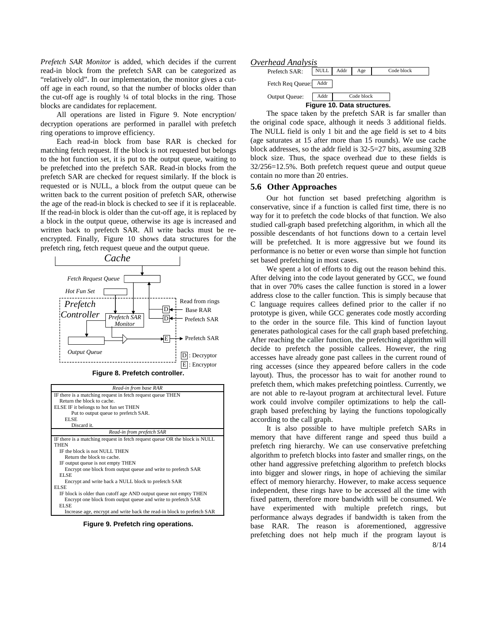*Prefetch SAR Monitor* is added, which decides if the current read-in block from the prefetch SAR can be categorized as "relatively old". In our implementation, the monitor gives a cutoff age in each round, so that the number of blocks older than the cut-off age is roughly  $\frac{1}{4}$  of total blocks in the ring. Those blocks are candidates for replacement.

All operations are listed in Figure 9. Note encryption/ decryption operations are performed in parallel with prefetch ring operations to improve efficiency.

Each read-in block from base RAR is checked for matching fetch request. If the block is not requested but belongs to the hot function set, it is put to the output queue, waiting to be prefetched into the prefetch SAR. Read-in blocks from the prefetch SAR are checked for request similarly. If the block is requested or is NULL, a block from the output queue can be written back to the current position of prefetch SAR, otherwise the age of the read-in block is checked to see if it is replaceable. If the read-in block is older than the cut-off age, it is replaced by a block in the output queue, otherwise its age is increased and written back to prefetch SAR. All write backs must be reencrypted. Finally, Figure 10 shows data structures for the prefetch ring, fetch request queue and the output queue.



*Read-in from base RAR* IF there is a matching request in fetch request queue THEN Return the block to cache. ELSE IF it belongs to hot fun set THEN Put to output queue to prefetch SAR. ELSE Discard it. *Read-in from prefetch SAR*  IF there is a matching request in fetch request queue OR the block is NULL **THEN**  IF the block is not NULL THEN Return the block to cache. IF output queue is not empty THEN Encrypt one block from output queue and write to prefetch SAR ELSE Encrypt and write back a NULL block to prefetch SAR ELSE IF block is older than cutoff age AND output queue not empty THEN Encrypt one block from output queue and write to prefetch SAR ELSE Increase age, encrypt and write back the read-in block to prefetch SAR

**Figure 9. Prefetch ring operations.** 



The space taken by the prefetch SAR is far smaller than the original code space, although it needs 3 additional fields. The NULL field is only 1 bit and the age field is set to 4 bits (age saturates at 15 after more than 15 rounds). We use cache block addresses, so the addr field is 32-5=27 bits, assuming 32B block size. Thus, the space overhead due to these fields is 32/256=12.5%. Both prefetch request queue and output queue contain no more than 20 entries.

## **5.6 Other Approaches**

Our hot function set based prefetching algorithm is conservative, since if a function is called first time, there is no way for it to prefetch the code blocks of that function. We also studied call-graph based prefetching algorithm, in which all the possible descendants of hot functions down to a certain level will be prefetched. It is more aggressive but we found its performance is no better or even worse than simple hot function set based prefetching in most cases.

We spent a lot of efforts to dig out the reason behind this. After delving into the code layout generated by GCC, we found that in over 70% cases the callee function is stored in a lower address close to the caller function. This is simply because that C language requires callees defined prior to the caller if no prototype is given, while GCC generates code mostly according to the order in the source file. This kind of function layout generates pathological cases for the call graph based prefetching. After reaching the caller function, the prefetching algorithm will decide to prefetch the possible callees. However, the ring accesses have already gone past callees in the current round of ring accesses (since they appeared before callers in the code layout). Thus, the processor has to wait for another round to prefetch them, which makes prefetching pointless. Currently, we are not able to re-layout program at architectural level. Future work could involve compiler optimizations to help the callgraph based prefetching by laying the functions topologically according to the call graph.

It is also possible to have multiple prefetch SARs in memory that have different range and speed thus build a prefetch ring hierarchy. We can use conservative prefetching algorithm to prefetch blocks into faster and smaller rings, on the other hand aggressive prefetching algorithm to prefetch blocks into bigger and slower rings, in hope of achieving the similar effect of memory hierarchy. However, to make access sequence independent, these rings have to be accessed all the time with fixed pattern, therefore more bandwidth will be consumed. We have experimented with multiple prefetch rings, but performance always degrades if bandwidth is taken from the base RAR. The reason is aforementioned, aggressive prefetching does not help much if the program layout is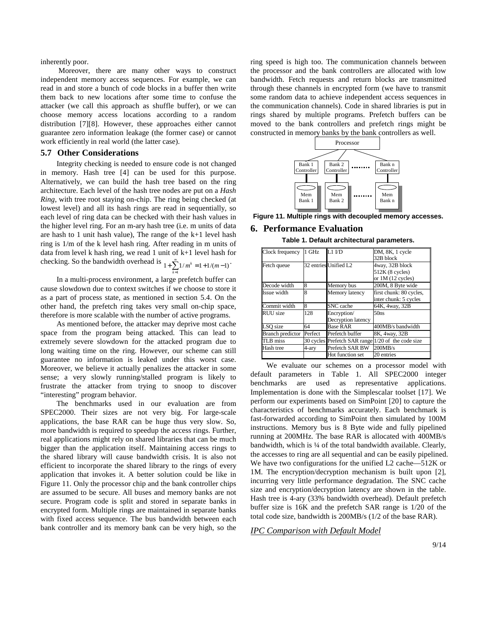inherently poor.

 Moreover, there are many other ways to construct independent memory access sequences. For example, we can read in and store a bunch of code blocks in a buffer then write them back to new locations after some time to confuse the attacker (we call this approach as shuffle buffer), or we can choose memory access locations according to a random distribution [7][8]. However, these approaches either cannot guarantee zero information leakage (the former case) or cannot work efficiently in real world (the latter case).

## **5.7 Other Considerations**

Integrity checking is needed to ensure code is not changed in memory. Hash tree [4] can be used for this purpose. Alternatively, we can build the hash tree based on the ring architecture. Each level of the hash tree nodes are put on a *Hash Ring*, with tree root staying on-chip. The ring being checked (at lowest level) and all its hash rings are read in sequentially, so each level of ring data can be checked with their hash values in the higher level ring. For an m-ary hash tree (i.e. m units of data are hash to 1 unit hash value), The range of the k+1 level hash ring is 1/m of the k level hash ring. After reading in m units of data from level k hash ring, we read 1 unit of  $k+1$  level hash for checking. So the bandwidth overhead is ∞

$$
1 + \sum_{k=1}^{\infty} 1/m^k = 1 + 1/(m-1)^{k-1}
$$

In a multi-process environment, a large prefetch buffer can cause slowdown due to context switches if we choose to store it as a part of process state, as mentioned in section 5.4. On the other hand, the prefetch ring takes very small on-chip space, therefore is more scalable with the number of active programs.

As mentioned before, the attacker may deprive most cache space from the program being attacked. This can lead to extremely severe slowdown for the attacked program due to long waiting time on the ring. However, our scheme can still guarantee no information is leaked under this worst case. Moreover, we believe it actually penalizes the attacker in some sense; a very slowly running/stalled program is likely to frustrate the attacker from trying to snoop to discover "interesting" program behavior.

The benchmarks used in our evaluation are from SPEC2000. Their sizes are not very big. For large-scale applications, the base RAR can be huge thus very slow. So, more bandwidth is required to speedup the access rings. Further, real applications might rely on shared libraries that can be much bigger than the application itself. Maintaining access rings to the shared library will cause bandwidth crisis. It is also not efficient to incorporate the shared library to the rings of every application that invokes it. A better solution could be like in Figure 11. Only the processor chip and the bank controller chips are assumed to be secure. All buses and memory banks are not secure. Program code is split and stored in separate banks in encrypted form. Multiple rings are maintained in separate banks with fixed access sequence. The bus bandwidth between each bank controller and its memory bank can be very high, so the

ring speed is high too. The communication channels between the processor and the bank controllers are allocated with low bandwidth. Fetch requests and return blocks are transmitted through these channels in encrypted form (we have to transmit some random data to achieve independent access sequences in the communication channels). Code in shared libraries is put in rings shared by multiple programs. Prefetch buffers can be moved to the bank controllers and prefetch rings might be constructed in memory banks by the bank controllers as well.



**Figure 11. Multiple rings with decoupled memory accesses.** 

# **6. Performance Evaluation**

**Table 1. Default architectural parameters.** 

| Clock frequency         | 1 GHz   | $L1$ $\text{ID}$      | DM, 8K, 1 cycle                                    |
|-------------------------|---------|-----------------------|----------------------------------------------------|
|                         |         |                       | 32B block                                          |
| Fetch queue             |         | 32 entries Unified L2 | 4way, 32B block                                    |
|                         |         |                       | $512K(8$ cycles)                                   |
|                         |         |                       | or 1M (12 cycles)                                  |
| Decode width            | 8       | Memory bus            | 200M, 8 Byte wide                                  |
| <b>Issue width</b>      | 8       | Memory latency        | first chunk: 80 cycles,                            |
|                         |         |                       | inter chunk: 5 cycles                              |
| Commit width            | 8       | <b>SNC</b> cache      | 64K, 4way, 32B                                     |
| <b>RUU</b> size         | 128     | Encryption/           | 50ns                                               |
|                         |         | Decryption latency    |                                                    |
| LSO size                | 64      | <b>Base RAR</b>       | 400MB/s bandwidth                                  |
| <b>Branch</b> predictor | Perfect | Prefetch buffer       | 8K, 4way, 32B                                      |
| TLB miss                |         |                       | 30 cycles Prefetch SAR range 1/20 of the code size |
| Hash tree               | 4-ary   | Prefetch SAR BW       | 200MB/s                                            |
|                         |         | Hot function set      | 20 entries                                         |

We evaluate our schemes on a processor model with default parameters in Table 1. All SPEC2000 integer benchmarks are used as representative applications. Implementation is done with the Simplescalar toolset [17]. We perform our experiments based on SimPoint [20] to capture the characteristics of benchmarks accurately. Each benchmark is fast-forwarded according to SimPoint then simulated by 100M instructions. Memory bus is 8 Byte wide and fully pipelined running at 200MHz. The base RAR is allocated with 400MB/s bandwidth, which is ¼ of the total bandwidth available. Clearly, the accesses to ring are all sequential and can be easily pipelined. We have two configurations for the unified L2 cache—512K or 1M. The encryption/decryption mechanism is built upon [2], incurring very little performance degradation. The SNC cache size and encryption/decryption latency are shown in the table. Hash tree is 4-ary (33% bandwidth overhead). Default prefetch buffer size is 16K and the prefetch SAR range is 1/20 of the total code size, bandwidth is 200MB/s (1/2 of the base RAR).

*IPC Comparison with Default Model*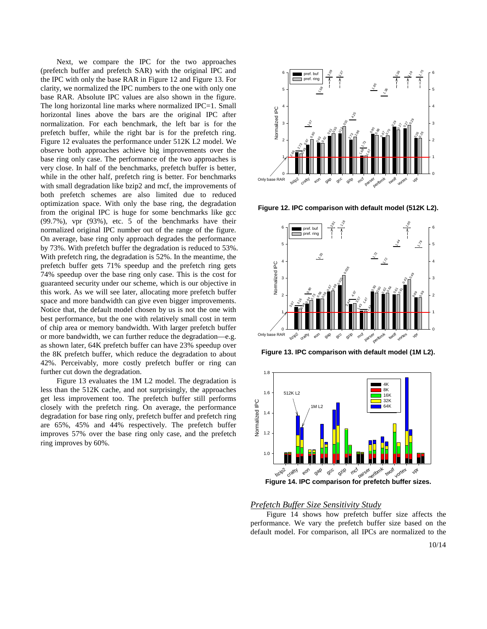Next, we compare the IPC for the two approaches (prefetch buffer and prefetch SAR) with the original IPC and the IPC with only the base RAR in Figure 12 and Figure 13. For clarity, we normalized the IPC numbers to the one with only one base RAR. Absolute IPC values are also shown in the figure. The long horizontal line marks where normalized IPC=1. Small horizontal lines above the bars are the original IPC after normalization. For each benchmark, the left bar is for the prefetch buffer, while the right bar is for the prefetch ring. Figure 12 evaluates the performance under 512K L2 model. We observe both approaches achieve big improvements over the base ring only case. The performance of the two approaches is very close. In half of the benchmarks, prefetch buffer is better, while in the other half, prefetch ring is better. For benchmarks with small degradation like bzip2 and mcf, the improvements of both prefetch schemes are also limited due to reduced optimization space. With only the base ring, the degradation from the original IPC is huge for some benchmarks like gcc (99.7%), vpr (93%), etc. 5 of the benchmarks have their normalized original IPC number out of the range of the figure. On average, base ring only approach degrades the performance by 73%. With prefetch buffer the degradation is reduced to 53%. With prefetch ring, the degradation is 52%. In the meantime, the prefetch buffer gets 71% speedup and the prefetch ring gets 74% speedup over the base ring only case. This is the cost for guaranteed security under our scheme, which is our objective in this work. As we will see later, allocating more prefetch buffer space and more bandwidth can give even bigger improvements. Notice that, the default model chosen by us is not the one with best performance, but the one with relatively small cost in term of chip area or memory bandwidth. With larger prefetch buffer or more bandwidth, we can further reduce the degradation—e.g. as shown later, 64K prefetch buffer can have 23% speedup over the 8K prefetch buffer, which reduce the degradation to about 42%. Perceivably, more costly prefetch buffer or ring can further cut down the degradation.

Figure 13 evaluates the 1M L2 model. The degradation is less than the 512K cache, and not surprisingly, the approaches get less improvement too. The prefetch buffer still performs closely with the prefetch ring. On average, the performance degradation for base ring only, prefetch buffer and prefetch ring are 65%, 45% and 44% respectively. The prefetch buffer improves 57% over the base ring only case, and the prefetch ring improves by 60%.



**Figure 12. IPC comparison with default model (512K L2).** 



**Figure 13. IPC comparison with default model (1M L2).** 



#### *Prefetch Buffer Size Sensitivity Study*

Figure 14 shows how prefetch buffer size affects the performance. We vary the prefetch buffer size based on the default model. For comparison, all IPCs are normalized to the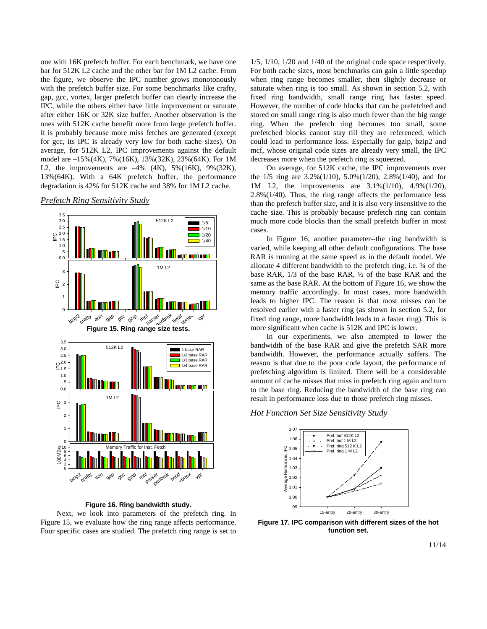one with 16K prefetch buffer. For each benchmark, we have one bar for 512K L2 cache and the other bar for 1M L2 cache. From the figure, we observe the IPC number grows monotonously with the prefetch buffer size. For some benchmarks like crafty, gap, gcc, vortex, larger prefetch buffer can clearly increase the IPC, while the others either have little improvement or saturate after either 16K or 32K size buffer. Another observation is the ones with 512K cache benefit more from large prefetch buffer. It is probably because more miss fetches are generated (except for gcc, its IPC is already very low for both cache sizes). On average, for 512K L2, IPC improvements against the default model are –15%(4K), 7%(16K), 13%(32K), 23%(64K). For 1M L2, the improvements are  $-4\%$  (4K), 5%(16K), 9%(32K), 13%(64K). With a 64K prefetch buffer, the performance degradation is 42% for 512K cache and 38% for 1M L2 cache.





#### **Figure 16. Ring bandwidth study.**

Next, we look into parameters of the prefetch ring. In Figure 15, we evaluate how the ring range affects performance. Four specific cases are studied. The prefetch ring range is set to

1/5, 1/10, 1/20 and 1/40 of the original code space respectively. For both cache sizes, most benchmarks can gain a little speedup when ring range becomes smaller, then slightly decrease or saturate when ring is too small. As shown in section 5.2, with fixed ring bandwidth, small range ring has faster speed. However, the number of code blocks that can be prefetched and stored on small range ring is also much fewer than the big range ring. When the prefetch ring becomes too small, some prefetched blocks cannot stay till they are referenced, which could lead to performance loss. Especially for gzip, bzip2 and mcf, whose original code sizes are already very small, the IPC decreases more when the prefetch ring is squeezed.

On average, for 512K cache, the IPC improvements over the 1/5 ring are 3.2%(1/10), 5.0%(1/20), 2.8%(1/40), and for 1M L2, the improvements are 3.1%(1/10), 4.9%(1/20), 2.8%(1/40). Thus, the ring range affects the performance less than the prefetch buffer size, and it is also very insensitive to the cache size. This is probably because prefetch ring can contain much more code blocks than the small prefetch buffer in most cases.

In Figure 16, another parameter--the ring bandwidth is varied, while keeping all other default configurations. The base RAR is running at the same speed as in the default model. We allocate 4 different bandwidth to the prefetch ring, i.e. ¼ of the base RAR, 1/3 of the base RAR, ½ of the base RAR and the same as the base RAR. At the bottom of Figure 16, we show the memory traffic accordingly. In most cases, more bandwidth leads to higher IPC. The reason is that most misses can be resolved earlier with a faster ring (as shown in section 5.2, for fixed ring range, more bandwidth leads to a faster ring). This is more significant when cache is 512K and IPC is lower.

In our experiments, we also attempted to lower the bandwidth of the base RAR and give the prefetch SAR more bandwidth. However, the performance actually suffers. The reason is that due to the poor code layout, the performance of prefetching algorithm is limited. There will be a considerable amount of cache misses that miss in prefetch ring again and turn to the base ring. Reducing the bandwidth of the base ring can result in performance loss due to those prefetch ring misses.

#### *Hot Function Set Size Sensitivity Study*



**Figure 17. IPC comparison with different sizes of the hot function set.**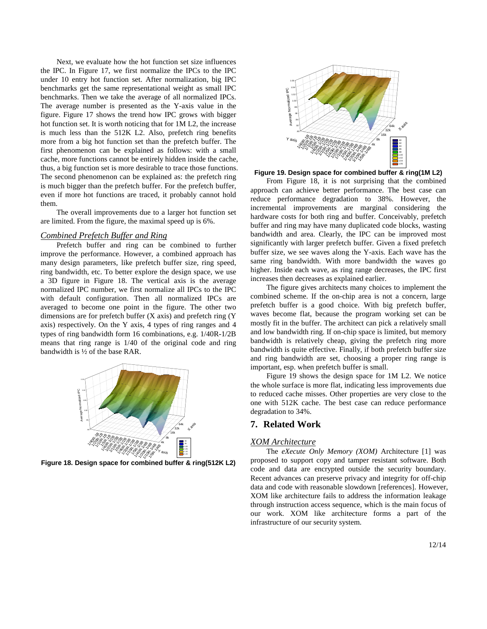Next, we evaluate how the hot function set size influences the IPC. In Figure 17, we first normalize the IPCs to the IPC under 10 entry hot function set. After normalization, big IPC benchmarks get the same representational weight as small IPC benchmarks. Then we take the average of all normalized IPCs. The average number is presented as the Y-axis value in the figure. Figure 17 shows the trend how IPC grows with bigger hot function set. It is worth noticing that for 1M L2, the increase is much less than the 512K L2. Also, prefetch ring benefits more from a big hot function set than the prefetch buffer. The first phenomenon can be explained as follows: with a small cache, more functions cannot be entirely hidden inside the cache, thus, a big function set is more desirable to trace those functions. The second phenomenon can be explained as: the prefetch ring is much bigger than the prefetch buffer. For the prefetch buffer, even if more hot functions are traced, it probably cannot hold them.

The overall improvements due to a larger hot function set are limited. From the figure, the maximal speed up is 6%.

## *Combined Prefetch Buffer and Ring*

Prefetch buffer and ring can be combined to further improve the performance. However, a combined approach has many design parameters, like prefetch buffer size, ring speed, ring bandwidth, etc. To better explore the design space, we use a 3D figure in Figure 18. The vertical axis is the average normalized IPC number, we first normalize all IPCs to the IPC with default configuration. Then all normalized IPCs are averaged to become one point in the figure. The other two dimensions are for prefetch buffer (X axis) and prefetch ring (Y axis) respectively. On the Y axis, 4 types of ring ranges and 4 types of ring bandwidth form 16 combinations, e.g. 1/40R-1/2B means that ring range is 1/40 of the original code and ring bandwidth is ½ of the base RAR.



**Figure 18. Design space for combined buffer & ring(512K L2)** 



**Figure 19. Design space for combined buffer & ring(1M L2)** 

From Figure 18, it is not surprising that the combined approach can achieve better performance. The best case can reduce performance degradation to 38%. However, the incremental improvements are marginal considering the hardware costs for both ring and buffer. Conceivably, prefetch buffer and ring may have many duplicated code blocks, wasting bandwidth and area. Clearly, the IPC can be improved most significantly with larger prefetch buffer. Given a fixed prefetch buffer size, we see waves along the Y-axis. Each wave has the same ring bandwidth. With more bandwidth the waves go higher. Inside each wave, as ring range decreases, the IPC first increases then decreases as explained earlier.

The figure gives architects many choices to implement the combined scheme. If the on-chip area is not a concern, large prefetch buffer is a good choice. With big prefetch buffer, waves become flat, because the program working set can be mostly fit in the buffer. The architect can pick a relatively small and low bandwidth ring. If on-chip space is limited, but memory bandwidth is relatively cheap, giving the prefetch ring more bandwidth is quite effective. Finally, if both prefetch buffer size and ring bandwidth are set, choosing a proper ring range is important, esp. when prefetch buffer is small.

Figure 19 shows the design space for 1M L2. We notice the whole surface is more flat, indicating less improvements due to reduced cache misses. Other properties are very close to the one with 512K cache. The best case can reduce performance degradation to 34%.

# **7. Related Work**

## *XOM Architecture*

The *eXecute Only Memory (XOM)* Architecture [1] was proposed to support copy and tamper resistant software. Both code and data are encrypted outside the security boundary. Recent advances can preserve privacy and integrity for off-chip data and code with reasonable slowdown [references]. However, XOM like architecture fails to address the information leakage through instruction access sequence, which is the main focus of our work. XOM like architecture forms a part of the infrastructure of our security system.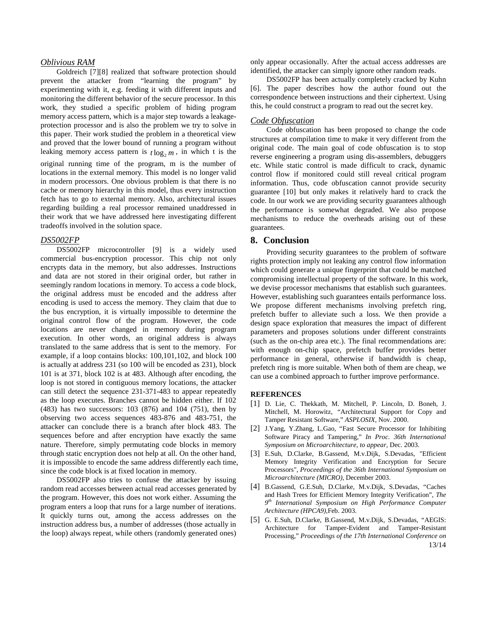## *Oblivious RAM*

Goldreich [7][8] realized that software protection should prevent the attacker from "learning the program" by experimenting with it, e.g. feeding it with different inputs and monitoring the different behavior of the secure processor. In this work, they studied a specific problem of hiding program memory access pattern, which is a major step towards a leakageprotection processor and is also the problem we try to solve in this paper. Their work studied the problem in a theoretical view and proved that the lower bound of running a program without leaking memory access pattern is  $t \log_2 m$ , in which t is the

original running time of the program, m is the number of locations in the external memory. This model is no longer valid in modern processors. One obvious problem is that there is no cache or memory hierarchy in this model, thus every instruction fetch has to go to external memory. Also, architectural issues regarding building a real processor remained unaddressed in their work that we have addressed here investigating different tradeoffs involved in the solution space.

## *DS5002FP*

DS5002FP microcontroller [9] is a widely used commercial bus-encryption processor. This chip not only encrypts data in the memory, but also addresses. Instructions and data are not stored in their original order, but rather in seemingly random locations in memory. To access a code block, the original address must be encoded and the address after encoding is used to access the memory. They claim that due to the bus encryption, it is virtually impossible to determine the original control flow of the program. However, the code locations are never changed in memory during program execution. In other words, an original address is always translated to the same address that is sent to the memory. For example, if a loop contains blocks: 100,101,102, and block 100 is actually at address 231 (so 100 will be encoded as 231), block 101 is at 371, block 102 is at 483. Although after encoding, the loop is not stored in contiguous memory locations, the attacker can still detect the sequence 231-371-483 to appear repeatedly as the loop executes. Branches cannot be hidden either. If 102 (483) has two successors: 103 (876) and 104 (751), then by observing two access sequences 483-876 and 483-751, the attacker can conclude there is a branch after block 483. The sequences before and after encryption have exactly the same nature. Therefore, simply permutating code blocks in memory through static encryption does not help at all. On the other hand, it is impossible to encode the same address differently each time, since the code block is at fixed location in memory.

DS5002FP also tries to confuse the attacker by issuing random read accesses between actual read accesses generated by the program. However, this does not work either. Assuming the program enters a loop that runs for a large number of iterations. It quickly turns out, among the access addresses on the instruction address bus, a number of addresses (those actually in the loop) always repeat, while others (randomly generated ones) only appear occasionally. After the actual access addresses are identified, the attacker can simply ignore other random reads.

DS5002FP has been actually completely cracked by Kuhn [6]. The paper describes how the author found out the correspondence between instructions and their ciphertext. Using this, he could construct a program to read out the secret key.

## *Code Obfuscation*

Code obfuscation has been proposed to change the code structures at compilation time to make it very different from the original code. The main goal of code obfuscation is to stop reverse engineering a program using dis-assemblers, debuggers etc. While static control is made difficult to crack, dynamic control flow if monitored could still reveal critical program information. Thus, code obfuscation cannot provide security guarantee [10] but only makes it relatively hard to crack the code. In our work we are providing security guarantees although the performance is somewhat degraded. We also propose mechanisms to reduce the overheads arising out of these guarantees.

## **8. Conclusion**

Providing security guarantees to the problem of software rights protection imply not leaking any control flow information which could generate a unique fingerprint that could be matched compromising intellectual property of the software. In this work, we devise processor mechanisms that establish such guarantees. However, establishing such guarantees entails performance loss. We propose different mechanisms involving prefetch ring, prefetch buffer to alleviate such a loss. We then provide a design space exploration that measures the impact of different parameters and proposes solutions under different constraints (such as the on-chip area etc.). The final recommendations are: with enough on-chip space, prefetch buffer provides better performance in general, otherwise if bandwidth is cheap, prefetch ring is more suitable. When both of them are cheap, we can use a combined approach to further improve performance.

## **REFERENCES**

- [1] D. Lie, C. Thekkath, M. Mitchell, P. Lincoln, D. Boneh, J. Mitchell, M. Horowitz, *"*Architectural Support for Copy and Tamper Resistant Software," *ASPLOSIX,* Nov. 2000.
- [2] J.Yang, Y.Zhang, L.Gao, "Fast Secure Processor for Inhibiting Software Piracy and Tampering," *In Proc. 36th International Symposium on Microarchitecture, to appear,* Dec. 2003.
- [3] E.Suh, D.Clarke, B.Gassend, M.v.Dijk, S.Devadas, "Efficient Memory Integrity Verification and Encryption for Secure Processors", *Proceedings of the 36th International Symposium on Microarchitecture (MICRO)*, December 2003.
- [4] B.Gassend, G.E.Suh, D.Clarke, M.v.Dijk, S.Devadas, "Caches and Hash Trees for Efficient Memory Integrity Verification", *The 9th International Symposium on High Performance Computer Architecture (HPCA9),*Feb. 2003.
- 13/14 [5] G. E.Suh, D.Clarke, B.Gassend, M.v.Dijk, S.Devadas, "AEGIS: Architecture for Tamper-Evident and Tamper-Resistant Processing," *Proceedings of the 17th International Conference on*